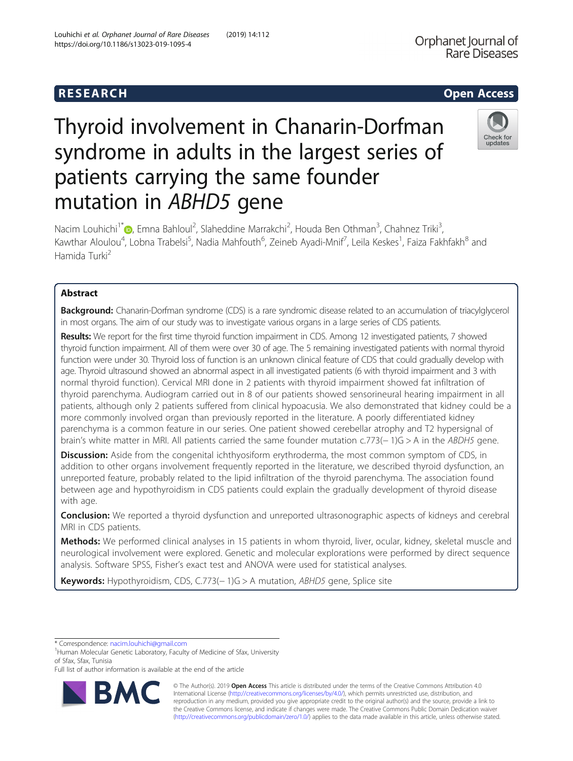# Louhichi et al. Orphanet Journal of Rare Diseases (2019) 14:112 https://doi.org/10.1186/s13023-019-1095-4

# Thyroid involvement in Chanarin-Dorfman syndrome in adults in the largest series of patients carrying the same founder mutation in ABHD5 gene

Check for undates

Nacim Louhichi<sup>1\*</sup>®[,](http://orcid.org/0000-0001-8629-7746) Emna Bahloul<sup>2</sup>, Slaheddine Marrakchi<sup>2</sup>, Houda Ben Othman<sup>3</sup>, Chahnez Triki<sup>3</sup> , Kawthar Aloulou<sup>4</sup>, Lobna Trabelsi<sup>5</sup>, Nadia Mahfouth<sup>6</sup>, Zeineb Ayadi-Mnif<sup>7</sup>, Leila Keskes<sup>1</sup>, Faiza Fakhfakh<sup>8</sup> and Hamida Turki<sup>2</sup>

# Abstract

Background: Chanarin-Dorfman syndrome (CDS) is a rare syndromic disease related to an accumulation of triacylglycerol in most organs. The aim of our study was to investigate various organs in a large series of CDS patients.

Results: We report for the first time thyroid function impairment in CDS. Among 12 investigated patients, 7 showed thyroid function impairment. All of them were over 30 of age. The 5 remaining investigated patients with normal thyroid function were under 30. Thyroid loss of function is an unknown clinical feature of CDS that could gradually develop with age. Thyroid ultrasound showed an abnormal aspect in all investigated patients (6 with thyroid impairment and 3 with normal thyroid function). Cervical MRI done in 2 patients with thyroid impairment showed fat infiltration of thyroid parenchyma. Audiogram carried out in 8 of our patients showed sensorineural hearing impairment in all patients, although only 2 patients suffered from clinical hypoacusia. We also demonstrated that kidney could be a more commonly involved organ than previously reported in the literature. A poorly differentiated kidney parenchyma is a common feature in our series. One patient showed cerebellar atrophy and T2 hypersignal of brain's white matter in MRI. All patients carried the same founder mutation c.773(− 1)G > A in the ABDH5 gene.

**Discussion:** Aside from the congenital ichthyosiform erythroderma, the most common symptom of CDS, in addition to other organs involvement frequently reported in the literature, we described thyroid dysfunction, an unreported feature, probably related to the lipid infiltration of the thyroid parenchyma. The association found between age and hypothyroidism in CDS patients could explain the gradually development of thyroid disease with age.

Conclusion: We reported a thyroid dysfunction and unreported ultrasonographic aspects of kidneys and cerebral MRI in CDS patients.

Methods: We performed clinical analyses in 15 patients in whom thyroid, liver, ocular, kidney, skeletal muscle and neurological involvement were explored. Genetic and molecular explorations were performed by direct sequence analysis. Software SPSS, Fisher's exact test and ANOVA were used for statistical analyses.

Keywords: Hypothyroidism, CDS, C.773(-1)G > A mutation, ABHD5 gene, Splice site

\* Correspondence: [nacim.louhichi@gmail.com](mailto:nacim.louhichi@gmail.com) <sup>1</sup>

<sup>1</sup>Human Molecular Genetic Laboratory, Faculty of Medicine of Sfax, University of Sfax, Sfax, Tunisia

Full list of author information is available at the end of the article



© The Author(s). 2019 **Open Access** This article is distributed under the terms of the Creative Commons Attribution 4.0 International License [\(http://creativecommons.org/licenses/by/4.0/](http://creativecommons.org/licenses/by/4.0/)), which permits unrestricted use, distribution, and reproduction in any medium, provided you give appropriate credit to the original author(s) and the source, provide a link to the Creative Commons license, and indicate if changes were made. The Creative Commons Public Domain Dedication waiver [\(http://creativecommons.org/publicdomain/zero/1.0/](http://creativecommons.org/publicdomain/zero/1.0/)) applies to the data made available in this article, unless otherwise stated.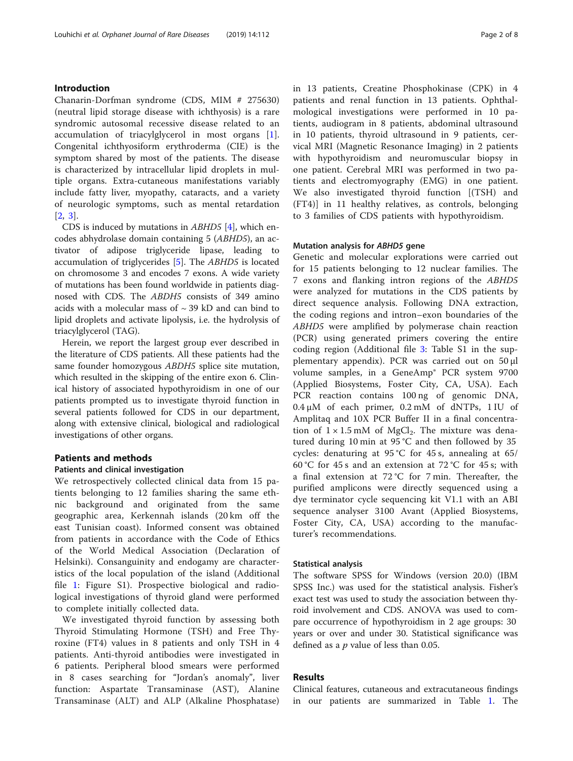## Introduction

Chanarin-Dorfman syndrome (CDS, MIM # 275630) (neutral lipid storage disease with ichthyosis) is a rare syndromic autosomal recessive disease related to an accumulation of triacylglycerol in most organs [\[1](#page-6-0)]. Congenital ichthyosiform erythroderma (CIE) is the symptom shared by most of the patients. The disease is characterized by intracellular lipid droplets in multiple organs. Extra-cutaneous manifestations variably include fatty liver, myopathy, cataracts, and a variety of neurologic symptoms, such as mental retardation [[2,](#page-6-0) [3](#page-6-0)].

CDS is induced by mutations in  $ABHD5$  [[4](#page-7-0)], which encodes abhydrolase domain containing 5 (ABHD5), an activator of adipose triglyceride lipase, leading to accumulation of triglycerides [[5\]](#page-7-0). The ABHD5 is located on chromosome 3 and encodes 7 exons. A wide variety of mutations has been found worldwide in patients diagnosed with CDS. The ABDH5 consists of 349 amino acids with a molecular mass of  $\sim$  39 kD and can bind to lipid droplets and activate lipolysis, i.e. the hydrolysis of triacylglycerol (TAG).

Herein, we report the largest group ever described in the literature of CDS patients. All these patients had the same founder homozygous ABDH5 splice site mutation, which resulted in the skipping of the entire exon 6. Clinical history of associated hypothyroidism in one of our patients prompted us to investigate thyroid function in several patients followed for CDS in our department, along with extensive clinical, biological and radiological investigations of other organs.

#### Patients and methods

#### Patients and clinical investigation

We retrospectively collected clinical data from 15 patients belonging to 12 families sharing the same ethnic background and originated from the same geographic area, Kerkennah islands (20 km off the east Tunisian coast). Informed consent was obtained from patients in accordance with the Code of Ethics of the World Medical Association (Declaration of Helsinki). Consanguinity and endogamy are characteristics of the local population of the island (Additional file [1:](#page-6-0) Figure S1). Prospective biological and radiological investigations of thyroid gland were performed to complete initially collected data.

We investigated thyroid function by assessing both Thyroid Stimulating Hormone (TSH) and Free Thyroxine (FT4) values in 8 patients and only TSH in 4 patients. Anti-thyroid antibodies were investigated in 6 patients. Peripheral blood smears were performed in 8 cases searching for "Jordan's anomaly", liver function: Aspartate Transaminase (AST), Alanine Transaminase (ALT) and ALP (Alkaline Phosphatase) in 13 patients, Creatine Phosphokinase (CPK) in 4 patients and renal function in 13 patients. Ophthalmological investigations were performed in 10 patients, audiogram in 8 patients, abdominal ultrasound in 10 patients, thyroid ultrasound in 9 patients, cervical MRI (Magnetic Resonance Imaging) in 2 patients with hypothyroidism and neuromuscular biopsy in one patient. Cerebral MRI was performed in two patients and electromyography (EMG) in one patient. We also investigated thyroid function [(TSH) and (FT4)] in 11 healthy relatives, as controls, belonging to 3 families of CDS patients with hypothyroidism.

## Mutation analysis for ABHD5 gene

Genetic and molecular explorations were carried out for 15 patients belonging to 12 nuclear families. The 7 exons and flanking intron regions of the ABHD5 were analyzed for mutations in the CDS patients by direct sequence analysis. Following DNA extraction, the coding regions and intron–exon boundaries of the ABHD5 were amplified by polymerase chain reaction (PCR) using generated primers covering the entire coding region (Additional file [3:](#page-6-0) Table S1 in the supplementary appendix). PCR was carried out on 50 μl volume samples, in a GeneAmp® PCR system 9700 (Applied Biosystems, Foster City, CA, USA). Each PCR reaction contains 100 ng of genomic DNA, 0.4 μM of each primer, 0.2 mM of dNTPs, 1 IU of Amplitaq and 10X PCR Buffer II in a final concentration of  $1 \times 1.5$  mM of MgCl<sub>2</sub>. The mixture was denatured during 10 min at 95 °C and then followed by 35 cycles: denaturing at  $95^{\circ}$ C for 45 s, annealing at 65/ 60 °C for 45 s and an extension at 72 °C for 45 s; with a final extension at 72 °C for 7 min. Thereafter, the purified amplicons were directly sequenced using a dye terminator cycle sequencing kit V1.1 with an ABI sequence analyser 3100 Avant (Applied Biosystems, Foster City, CA, USA) according to the manufacturer's recommendations.

#### Statistical analysis

The software SPSS for Windows (version 20.0) (IBM SPSS Inc.) was used for the statistical analysis. Fisher's exact test was used to study the association between thyroid involvement and CDS. ANOVA was used to compare occurrence of hypothyroidism in 2 age groups: 30 years or over and under 30. Statistical significance was defined as a  $p$  value of less than 0.05.

## Results

Clinical features, cutaneous and extracutaneous findings in our patients are summarized in Table [1](#page-2-0). The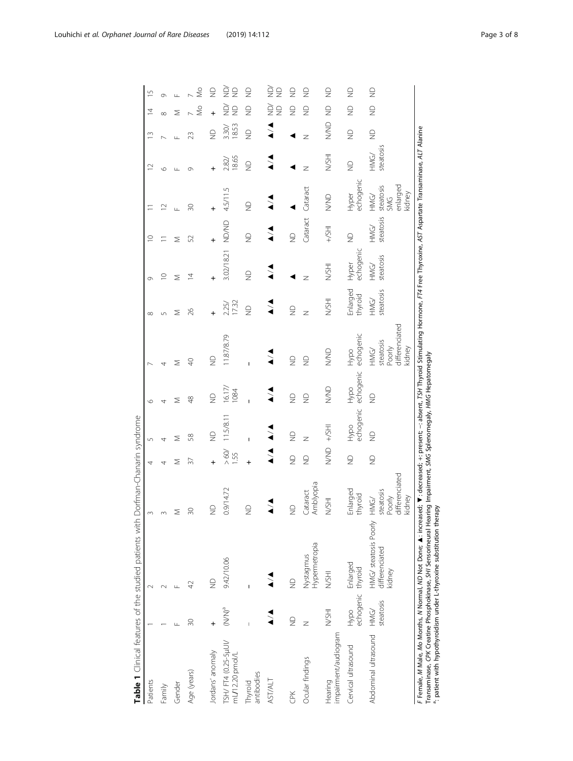<span id="page-2-0"></span>

|                                       |                             | Table 1 Clinical features of the studied patients with                                                                                                                                           | Dorfman-Chanarin syndrome                               |               |                   |                    |                                                         |                         |                    |                    |                                                       |                    |                    |                                        |               |
|---------------------------------------|-----------------------------|--------------------------------------------------------------------------------------------------------------------------------------------------------------------------------------------------|---------------------------------------------------------|---------------|-------------------|--------------------|---------------------------------------------------------|-------------------------|--------------------|--------------------|-------------------------------------------------------|--------------------|--------------------|----------------------------------------|---------------|
| Patients                              |                             |                                                                                                                                                                                                  |                                                         | 4             | $\sqrt{2}$        | ৩                  |                                                         |                         |                    | $\supseteq$        |                                                       |                    | S                  | S<br>4                                 |               |
| Family                                |                             |                                                                                                                                                                                                  |                                                         | 4             |                   |                    |                                                         |                         | $\circ$            |                    | $\simeq$                                              | O                  |                    | $\infty$                               |               |
| Gender                                |                             |                                                                                                                                                                                                  | Σ                                                       | Σ             | ⋝                 | ⋝                  | ⋝                                                       | ⋝                       | ⋝                  | Σ                  | Щ                                                     | $\Box$             |                    | ⋝                                      |               |
| Age (years)                           | 30                          | F                                                                                                                                                                                                | $\overline{50}$                                         | 57            | 58                | 48                 | $\Theta$                                                | $\approx$               | 4                  | 52                 | 20                                                    | თ                  | N                  | S                                      | $\frac{0}{2}$ |
| Jordans' anomaly                      | +                           | $\trianglerighteq$                                                                                                                                                                               | $\supseteq$                                             |               | $\supseteq$       | $\frac{\Omega}{Z}$ | $\frac{1}{2}$                                           |                         |                    |                    |                                                       |                    | $\supseteq$        | $\supseteq$<br>$\ddot{}$               |               |
| TSH/FT4 (0.25-5µUV<br>mL/12.20 pmol/L | $(\mathsf{N/N})^\mathsf{a}$ | 9.42/10.06                                                                                                                                                                                       | 0.9/14.72                                               | > 60<br>1.55  | 11.5/8.11         | 16.17/<br>1084     | 11.87/8.79                                              | 17.32<br>2.25/          | 3.02/18.21         | <b>UD/ND</b>       | 4.5/11.5                                              | 18.65<br>2.82      | 18.53<br>3.30/     | ĝ<br>$\frac{0}{2}$<br>è<br>$\supseteq$ |               |
| antibodies<br>Thyroid                 |                             |                                                                                                                                                                                                  | $\frac{1}{2}$                                           |               |                   |                    |                                                         | $\frac{\Omega}{\Sigma}$ | $\supseteq$        | $\trianglerighteq$ | $\frac{\Omega}{Z}$                                    | $\supseteq$        | $\frac{\Omega}{Z}$ | $\frac{\circ}{\circ}$<br>$\supseteq$   |               |
| <b>AST/ALT</b>                        |                             |                                                                                                                                                                                                  |                                                         |               |                   |                    |                                                         |                         |                    |                    |                                                       |                    |                    | $\frac{1}{2}$<br>ğ<br>$\supseteq$      | è             |
| <b>EK</b>                             | $\supseteq$                 | $\supseteq$                                                                                                                                                                                      | $\frac{\Omega}{\Sigma}$                                 | $\frac{1}{2}$ | $\frac{1}{2}$     | $\frac{1}{2}$      | $\frac{1}{2}$                                           | $\frac{1}{2}$           |                    | $\supseteq$        |                                                       |                    |                    | $\frac{\Omega}{Z}$<br>$\supseteq$      |               |
| Ocular findings                       | Z                           | Hypermetropia<br>Nystagmus                                                                                                                                                                       | Amblyopia<br>Cataract                                   | $\supseteq$   | z                 | $\frac{0}{2}$      | $\frac{\Omega}{Z}$                                      | z                       | Z                  | Cataract           | Cataract                                              | z                  | z                  | $\frac{\circ}{\circ}$<br>$\supseteq$   |               |
| impairment/audiogram<br>Hearing       | N/SHI                       | N/SHI                                                                                                                                                                                            | N/SHI                                                   | $\frac{1}{2}$ | $+$ /SHI          | NWD                | QNS                                                     | N/SHI                   | <b>HISAI</b>       | $HS+$              | <b>SIVA</b>                                           | N/SHI              | QNN                | $\supseteq$<br>$\supseteq$             |               |
| Cervical ultrasound                   | echogenic thyroid<br>Hypo   | Enlarged                                                                                                                                                                                         | Enlarged<br>thyroid                                     | $\frac{1}{2}$ | echogenic<br>Hypo | echogenic<br>Hypo  | echogenic<br>Hypo                                       | Enlarged<br>thyroid     | echogenic<br>Hyper | $\supseteq$        | echogenic<br>Hyper                                    | $\trianglerighteq$ | $\frac{\Omega}{Z}$ | $\frac{\Omega}{\Sigma}$<br>$\supseteq$ |               |
| Abdominal ultrasound                  | steatosis<br>HMG/           | HMG/ steatosis Poorly<br>differenciated<br>kidney                                                                                                                                                | differenciated<br>steatosis<br>kidney<br>Poorly<br>HMG/ | $\supseteq$   | $\frac{1}{2}$     | $\supseteq$        | differenciated<br>steatosis<br>kidney<br>Poorly<br>HMG/ | steatosis<br>HMG/       | steatosis<br>HMG/  | steatosis<br>HMG/  | enlarged<br>steatosis<br>kidney<br>HMG/<br><b>SMG</b> | steatosis<br>HMG/  | $\supseteq$        | $\supseteq$<br>$\supseteq$             |               |
|                                       |                             | F Female, M Male, Mo Months, M Wormal, MD Not Done; A : increased; +: decreased; +: present; -: absent; Thyroid Stimulating Hormone, FT4 Free Thyroxine, AST Aspartate Transaminase, ALT Alanine |                                                         |               |                   |                    |                                                         |                         |                    |                    |                                                       |                    |                    |                                        |               |

Transaminase, CPK Creatine Phosphokinase, SHI Sensorineural Hearing Impairment, SMG Splenomegaly, HMG Hepatomegaly

a: patient with hypothyroidism under L-thyroxine substitution therapy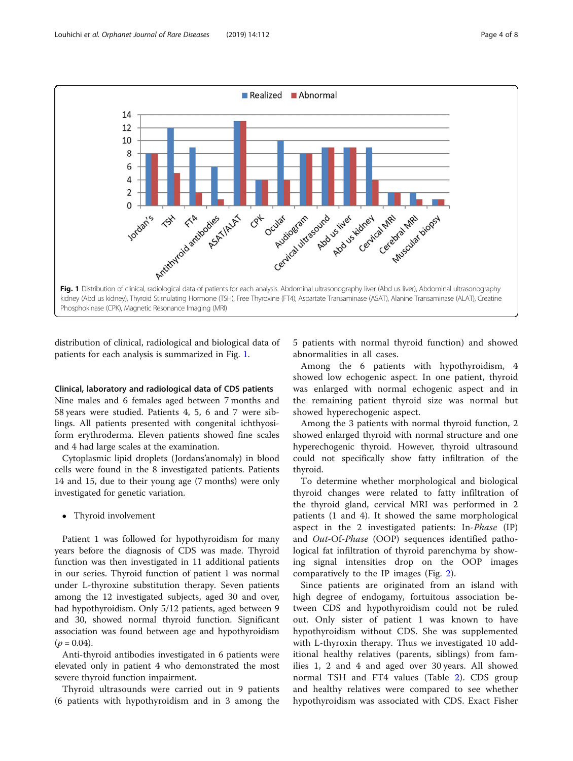

distribution of clinical, radiological and biological data of patients for each analysis is summarized in Fig. 1.

#### Clinical, laboratory and radiological data of CDS patients

Nine males and 6 females aged between 7 months and 58 years were studied. Patients 4, 5, 6 and 7 were siblings. All patients presented with congenital ichthyosiform erythroderma. Eleven patients showed fine scales and 4 had large scales at the examination.

Cytoplasmic lipid droplets (Jordans'anomaly) in blood cells were found in the 8 investigated patients. Patients 14 and 15, due to their young age (7 months) were only investigated for genetic variation.

• Thyroid involvement

Patient 1 was followed for hypothyroidism for many years before the diagnosis of CDS was made. Thyroid function was then investigated in 11 additional patients in our series. Thyroid function of patient 1 was normal under L-thyroxine substitution therapy. Seven patients among the 12 investigated subjects, aged 30 and over, had hypothyroidism. Only 5/12 patients, aged between 9 and 30, showed normal thyroid function. Significant association was found between age and hypothyroidism  $(p = 0.04)$ .

Anti-thyroid antibodies investigated in 6 patients were elevated only in patient 4 who demonstrated the most severe thyroid function impairment.

Thyroid ultrasounds were carried out in 9 patients (6 patients with hypothyroidism and in 3 among the 5 patients with normal thyroid function) and showed abnormalities in all cases.

Among the 6 patients with hypothyroidism, 4 showed low echogenic aspect. In one patient, thyroid was enlarged with normal echogenic aspect and in the remaining patient thyroid size was normal but showed hyperechogenic aspect.

Among the 3 patients with normal thyroid function, 2 showed enlarged thyroid with normal structure and one hyperechogenic thyroid. However, thyroid ultrasound could not specifically show fatty infiltration of the thyroid.

To determine whether morphological and biological thyroid changes were related to fatty infiltration of the thyroid gland, cervical MRI was performed in 2 patients (1 and 4). It showed the same morphological aspect in the 2 investigated patients: In-Phase (IP) and Out-Of-Phase (OOP) sequences identified pathological fat infiltration of thyroid parenchyma by showing signal intensities drop on the OOP images comparatively to the IP images (Fig. [2\)](#page-4-0).

Since patients are originated from an island with high degree of endogamy, fortuitous association between CDS and hypothyroidism could not be ruled out. Only sister of patient 1 was known to have hypothyroidism without CDS. She was supplemented with L-thyroxin therapy. Thus we investigated 10 additional healthy relatives (parents, siblings) from families 1, 2 and 4 and aged over 30 years. All showed normal TSH and FT4 values (Table [2\)](#page-4-0). CDS group and healthy relatives were compared to see whether hypothyroidism was associated with CDS. Exact Fisher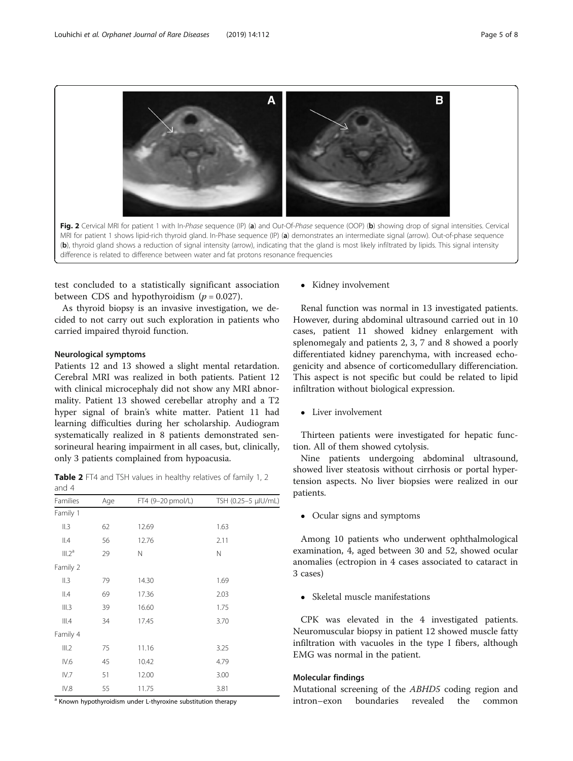<span id="page-4-0"></span>A B Fig. 2 Cervical MRI for patient 1 with In-Phase sequence (IP) (a) and Out-Of-Phase sequence (OOP) (b) showing drop of signal intensities. Cervical MRI for patient 1 shows lipid-rich thyroid gland. In-Phase sequence (IP) (a) demonstrates an intermediate signal (arrow). Out-of-phase sequence (b), thyroid gland shows a reduction of signal intensity (arrow), indicating that the gland is most likely infiltrated by lipids. This signal intensity difference is related to difference between water and fat protons resonance frequencies

test concluded to a statistically significant association between CDS and hypothyroidism  $(p = 0.027)$ .

As thyroid biopsy is an invasive investigation, we decided to not carry out such exploration in patients who carried impaired thyroid function.

#### Neurological symptoms

Patients 12 and 13 showed a slight mental retardation. Cerebral MRI was realized in both patients. Patient 12 with clinical microcephaly did not show any MRI abnormality. Patient 13 showed cerebellar atrophy and a T2 hyper signal of brain's white matter. Patient 11 had learning difficulties during her scholarship. Audiogram systematically realized in 8 patients demonstrated sensorineural hearing impairment in all cases, but, clinically, only 3 patients complained from hypoacusia.

Table 2 FT4 and TSH values in healthy relatives of family 1, 2 and 4

| Families           | Age | FT4 (9-20 pmol/L) | TSH (0.25-5 µlU/mL) |
|--------------------|-----|-------------------|---------------------|
| Family 1           |     |                   |                     |
| II.3               | 62  | 12.69             | 1.63                |
| II.4               | 56  | 12.76             | 2.11                |
| III.2 <sup>a</sup> | 29  | Ν                 | N                   |
| Family 2           |     |                   |                     |
| II.3               | 79  | 14.30             | 1.69                |
| II.4               | 69  | 17.36             | 2.03                |
| III.3              | 39  | 16.60             | 1.75                |
| III.4              | 34  | 17.45             | 3.70                |
| Family 4           |     |                   |                     |
| III.2              | 75  | 11.16             | 3.25                |
| IV.6               | 45  | 10.42             | 4.79                |
| IV.7               | 51  | 12.00             | 3.00                |
| IV.8               | 55  | 11.75             | 3.81                |

<sup>a</sup> Known hypothyroidism under L-thyroxine substitution therapy

• Kidney involvement

Renal function was normal in 13 investigated patients. However, during abdominal ultrasound carried out in 10 cases, patient 11 showed kidney enlargement with splenomegaly and patients 2, 3, 7 and 8 showed a poorly differentiated kidney parenchyma, with increased echogenicity and absence of corticomedullary differenciation. This aspect is not specific but could be related to lipid infiltration without biological expression.

• Liver involvement

Thirteen patients were investigated for hepatic function. All of them showed cytolysis.

Nine patients undergoing abdominal ultrasound, showed liver steatosis without cirrhosis or portal hypertension aspects. No liver biopsies were realized in our patients.

• Ocular signs and symptoms

Among 10 patients who underwent ophthalmological examination, 4, aged between 30 and 52, showed ocular anomalies (ectropion in 4 cases associated to cataract in 3 cases)

• Skeletal muscle manifestations

CPK was elevated in the 4 investigated patients. Neuromuscular biopsy in patient 12 showed muscle fatty infiltration with vacuoles in the type I fibers, although EMG was normal in the patient.

## Molecular findings

Mutational screening of the ABHD5 coding region and intron–exon boundaries revealed the common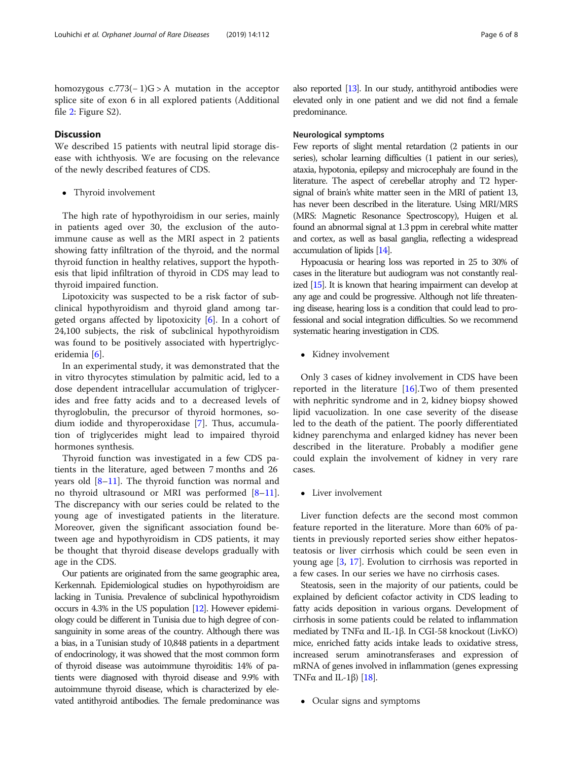homozygous  $c.773(-1)G > A$  mutation in the acceptor splice site of exon 6 in all explored patients (Additional file [2:](#page-6-0) Figure S2).

## **Discussion**

We described 15 patients with neutral lipid storage disease with ichthyosis. We are focusing on the relevance of the newly described features of CDS.

Thyroid involvement

The high rate of hypothyroidism in our series, mainly in patients aged over 30, the exclusion of the autoimmune cause as well as the MRI aspect in 2 patients showing fatty infiltration of the thyroid, and the normal thyroid function in healthy relatives, support the hypothesis that lipid infiltration of thyroid in CDS may lead to thyroid impaired function.

Lipotoxicity was suspected to be a risk factor of subclinical hypothyroidism and thyroid gland among targeted organs affected by lipotoxicity [\[6](#page-7-0)]. In a cohort of 24,100 subjects, the risk of subclinical hypothyroidism was found to be positively associated with hypertriglyceridemia [\[6](#page-7-0)].

In an experimental study, it was demonstrated that the in vitro thyrocytes stimulation by palmitic acid, led to a dose dependent intracellular accumulation of triglycerides and free fatty acids and to a decreased levels of thyroglobulin, the precursor of thyroid hormones, sodium iodide and thyroperoxidase [\[7](#page-7-0)]. Thus, accumulation of triglycerides might lead to impaired thyroid hormones synthesis.

Thyroid function was investigated in a few CDS patients in the literature, aged between 7 months and 26 years old [\[8](#page-7-0)–[11](#page-7-0)]. The thyroid function was normal and no thyroid ultrasound or MRI was performed [[8](#page-7-0)–[11](#page-7-0)]. The discrepancy with our series could be related to the young age of investigated patients in the literature. Moreover, given the significant association found between age and hypothyroidism in CDS patients, it may be thought that thyroid disease develops gradually with age in the CDS.

Our patients are originated from the same geographic area, Kerkennah. Epidemiological studies on hypothyroidism are lacking in Tunisia. Prevalence of subclinical hypothyroidism occurs in 4.3% in the US population [[12\]](#page-7-0). However epidemiology could be different in Tunisia due to high degree of consanguinity in some areas of the country. Although there was a bias, in a Tunisian study of 10,848 patients in a department of endocrinology, it was showed that the most common form of thyroid disease was autoimmune thyroiditis: 14% of patients were diagnosed with thyroid disease and 9.9% with autoimmune thyroid disease, which is characterized by elevated antithyroid antibodies. The female predominance was also reported [[13\]](#page-7-0). In our study, antithyroid antibodies were elevated only in one patient and we did not find a female predominance.

## Neurological symptoms

Few reports of slight mental retardation (2 patients in our series), scholar learning difficulties (1 patient in our series), ataxia, hypotonia, epilepsy and microcephaly are found in the literature. The aspect of cerebellar atrophy and T2 hypersignal of brain's white matter seen in the MRI of patient 13, has never been described in the literature. Using MRI/MRS (MRS: Magnetic Resonance Spectroscopy), Huigen et al. found an abnormal signal at 1.3 ppm in cerebral white matter and cortex, as well as basal ganglia, reflecting a widespread accumulation of lipids [[14\]](#page-7-0).

Hypoacusia or hearing loss was reported in 25 to 30% of cases in the literature but audiogram was not constantly realized [\[15\]](#page-7-0). It is known that hearing impairment can develop at any age and could be progressive. Although not life threatening disease, hearing loss is a condition that could lead to professional and social integration difficulties. So we recommend systematic hearing investigation in CDS.

• Kidney involvement

Only 3 cases of kidney involvement in CDS have been reported in the literature  $[16]$ . Two of them presented with nephritic syndrome and in 2, kidney biopsy showed lipid vacuolization. In one case severity of the disease led to the death of the patient. The poorly differentiated kidney parenchyma and enlarged kidney has never been described in the literature. Probably a modifier gene could explain the involvement of kidney in very rare cases.

• Liver involvement

Liver function defects are the second most common feature reported in the literature. More than 60% of patients in previously reported series show either hepatosteatosis or liver cirrhosis which could be seen even in young age [[3,](#page-6-0) [17](#page-7-0)]. Evolution to cirrhosis was reported in a few cases. In our series we have no cirrhosis cases.

Steatosis, seen in the majority of our patients, could be explained by deficient cofactor activity in CDS leading to fatty acids deposition in various organs. Development of cirrhosis in some patients could be related to inflammation mediated by TNFα and IL-1β. In CGI-58 knockout (LivKO) mice, enriched fatty acids intake leads to oxidative stress, increased serum aminotransferases and expression of mRNA of genes involved in inflammation (genes expressing TNF $\alpha$  and IL-1 $\beta$ ) [\[18\]](#page-7-0).

• Ocular signs and symptoms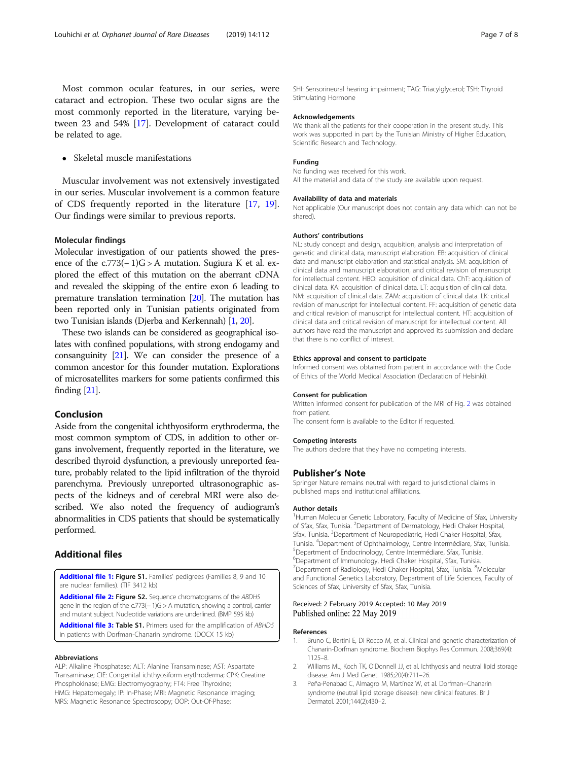<span id="page-6-0"></span>Most common ocular features, in our series, were cataract and ectropion. These two ocular signs are the most commonly reported in the literature, varying between 23 and 54% [[17\]](#page-7-0). Development of cataract could be related to age.

• Skeletal muscle manifestations

Muscular involvement was not extensively investigated in our series. Muscular involvement is a common feature of CDS frequently reported in the literature [\[17,](#page-7-0) [19](#page-7-0)]. Our findings were similar to previous reports.

#### Molecular findings

Molecular investigation of our patients showed the presence of the c.773(− 1)G > A mutation. Sugiura K et al. explored the effect of this mutation on the aberrant cDNA and revealed the skipping of the entire exon 6 leading to premature translation termination [[20](#page-7-0)]. The mutation has been reported only in Tunisian patients originated from two Tunisian islands (Djerba and Kerkennah) [1, [20](#page-7-0)].

These two islands can be considered as geographical isolates with confined populations, with strong endogamy and consanguinity [\[21\]](#page-7-0). We can consider the presence of a common ancestor for this founder mutation. Explorations of microsatellites markers for some patients confirmed this finding [[21](#page-7-0)].

## Conclusion

Aside from the congenital ichthyosiform erythroderma, the most common symptom of CDS, in addition to other organs involvement, frequently reported in the literature, we described thyroid dysfunction, a previously unreported feature, probably related to the lipid infiltration of the thyroid parenchyma. Previously unreported ultrasonographic aspects of the kidneys and of cerebral MRI were also described. We also noted the frequency of audiogram's abnormalities in CDS patients that should be systematically performed.

## Additional files

[Additional file 1:](https://doi.org/10.1186/s13023-019-1095-4) Figure S1. Families' pedigrees (Families 8, 9 and 10 are nuclear families). (TIF 3412 kb)

[Additional file 2:](https://doi.org/10.1186/s13023-019-1095-4) Figure S2. Sequence chromatograms of the ABDH5 gene in the region of the c.773(− 1)G > A mutation, showing a control, carrier and mutant subject. Nucleotide variations are underlined. (BMP 595 kb)

[Additional file 3:](https://doi.org/10.1186/s13023-019-1095-4) Table S1. Primers used for the amplification of ABHD5 in patients with Dorfman-Chanarin syndrome. (DOCX 15 kb)

#### Abbreviations

ALP: Alkaline Phosphatase; ALT: Alanine Transaminase; AST: Aspartate Transaminase; CIE: Congenital ichthyosiform erythroderma; CPK: Creatine Phosphokinase; EMG: Electromyography; FT4: Free Thyroxine; HMG: Hepatomegaly; IP: In-Phase; MRI: Magnetic Resonance Imaging; MRS: Magnetic Resonance Spectroscopy; OOP: Out-Of-Phase;

SHI: Sensorineural hearing impairment; TAG: Triacylglycerol; TSH: Thyroid Stimulating Hormone

#### Acknowledgements

We thank all the patients for their cooperation in the present study. This work was supported in part by the Tunisian Ministry of Higher Education, Scientific Research and Technology.

## Funding

No funding was received for this work. All the material and data of the study are available upon request.

#### Availability of data and materials

Not applicable (Our manuscript does not contain any data which can not be shared).

#### Authors' contributions

NL: study concept and design, acquisition, analysis and interpretation of genetic and clinical data, manuscript elaboration. EB: acquisition of clinical data and manuscript elaboration and statistical analysis. SM: acquisition of clinical data and manuscript elaboration, and critical revision of manuscript for intellectual content. HBO: acquisition of clinical data. ChT: acquisition of clinical data. KA: acquisition of clinical data. LT: acquisition of clinical data. NM: acquisition of clinical data. ZAM: acquisition of clinical data. LK: critical revision of manuscript for intellectual content. FF: acquisition of genetic data and critical revision of manuscript for intellectual content. HT: acquisition of clinical data and critical revision of manuscript for intellectual content. All authors have read the manuscript and approved its submission and declare that there is no conflict of interest.

#### Ethics approval and consent to participate

Informed consent was obtained from patient in accordance with the Code of Ethics of the World Medical Association (Declaration of Helsinki).

#### Consent for publication

Written informed consent for publication of the MRI of Fig. [2](#page-4-0) was obtained from patient. The consent form is available to the Editor if requested.

#### Competing interests

The authors declare that they have no competing interests.

#### Publisher's Note

Springer Nature remains neutral with regard to jurisdictional claims in published maps and institutional affiliations.

#### Author details

<sup>1</sup>Human Molecular Genetic Laboratory, Faculty of Medicine of Sfax, University of Sfax, Sfax, Tunisia. <sup>2</sup>Department of Dermatology, Hedi Chaker Hospital Sfax, Tunisia. <sup>3</sup>Department of Neuropediatric, Hedi Chaker Hospital, Sfax, Tunisia. <sup>4</sup> Department of Ophthalmology, Centre Intermédiare, Sfax, Tunisia. <sup>5</sup> <sup>5</sup>Department of Endocrinology, Centre Intermédiare, Sfax, Tunisia. 6 Department of Immunology, Hedi Chaker Hospital, Sfax, Tunisia. <sup>7</sup>Department of Radiology, Hedi Chaker Hospital, Sfax, Tunisia. <sup>8</sup>Molecular and Functional Genetics Laboratory, Department of Life Sciences, Faculty of Sciences of Sfax, University of Sfax, Sfax, Tunisia.

## Received: 2 February 2019 Accepted: 10 May 2019 Published online: 22 May 2019

#### References

- 1. Bruno C, Bertini E, Di Rocco M, et al. Clinical and genetic characterization of Chanarin-Dorfman syndrome. Biochem Biophys Res Commun. 2008;369(4): 1125–8.
- 2. Williams ML, Koch TK, O'Donnell JJ, et al. Ichthyosis and neutral lipid storage disease. Am J Med Genet. 1985;20(4):711–26.
- 3. Peña-Penabad C, Almagro M, Martínez W, et al. Dorfman--Chanarin syndrome (neutral lipid storage disease): new clinical features. Br J Dermatol. 2001;144(2):430–2.